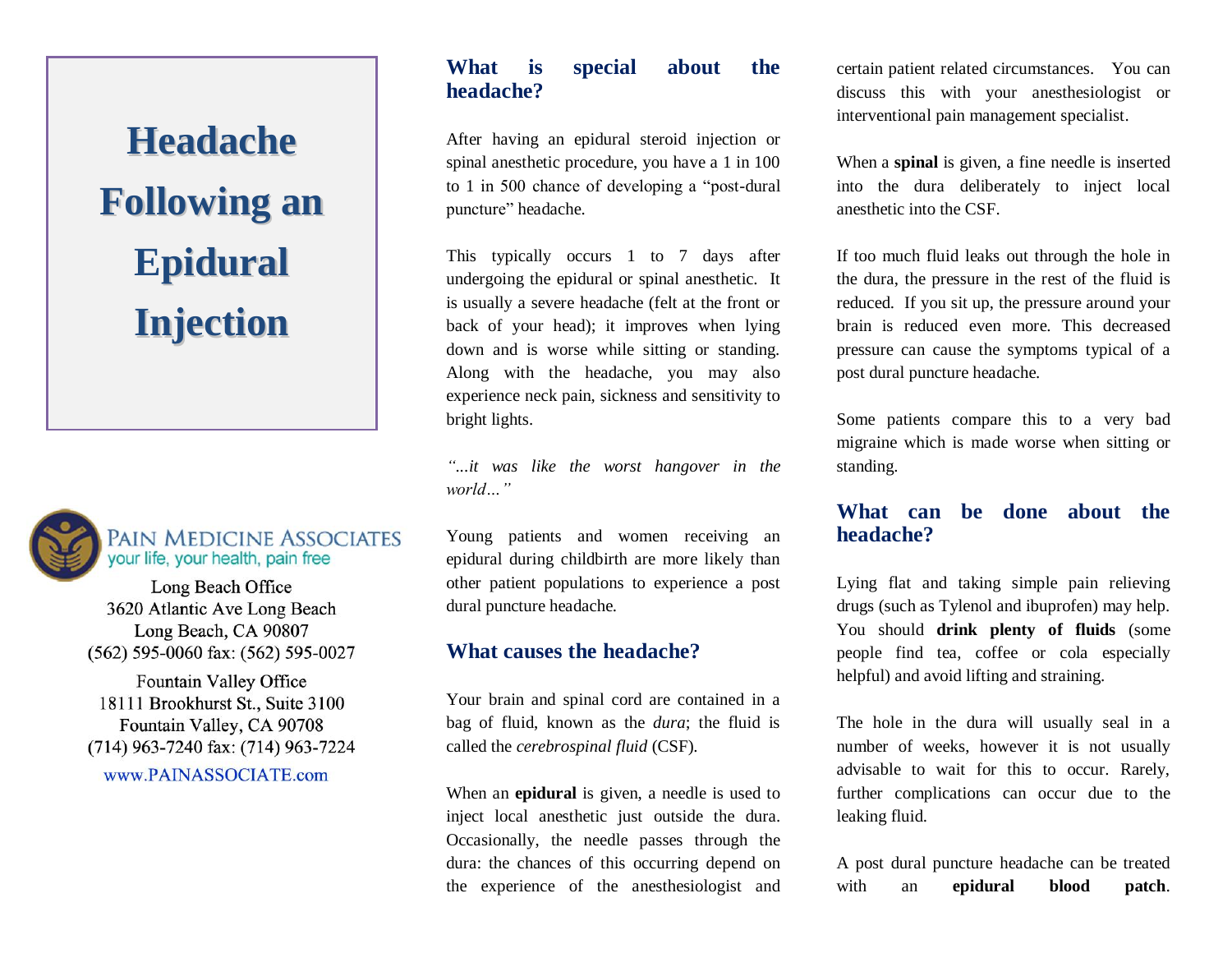**Headache Following an Epidural Injection**



#### **PAIN MEDICINE ASSOCIATES** your life, your health, pain free

Long Beach Office 3620 Atlantic Ave Long Beach Long Beach, CA 90807 (562) 595-0060 fax: (562) 595-0027

Fountain Valley Office 18111 Brookhurst St., Suite 3100<br>Fountain Valley, CA 90708  $\frac{1}{2}$  7340  $\frac{1}{2}$  (714)  $\frac{1}{2}$  /  $\frac{1}{2}$  /  $\frac{1}{2}$  /  $\frac{1}{2}$  /  $\frac{1}{2}$  /  $\frac{1}{2}$  /  $\frac{1}{2}$  /  $\frac{1}{2}$  /  $\frac{1}{2}$  /  $\frac{1}{2}$  /  $\frac{1}{2}$  /  $\frac{1}{2}$  /  $\frac{1}{2}$  /  $\frac{1}{2}$  /  $\frac{1}{2}$  /  $\frac{1}{2}$  /  $\frac{1}{2}$  /  $\frac{1}{2}$  /  $\frac{1$ www.PAINASSOCIATE.com

### **What is special about the headache?**

After having an epidural steroid injection or spinal anesthetic procedure, you have a 1 in 100 to 1 in 500 chance of developing a "post-dural puncture" headache.

This typically occurs 1 to 7 days after undergoing the epidural or spinal anesthetic. It is usually a severe headache (felt at the front or back of your head); it improves when lying down and is worse while sitting or standing. Along with the headache, you may also experience neck pain, sickness and sensitivity to bright lights.

*"...it was like the worst hangover in the world…"*

Young patients and women receiving an epidural during childbirth are more likely than other patient populations to experience a post dural puncture headache.

### **What causes the headache?**

Your brain and spinal cord are contained in a bag of fluid, known as the *dura*; the fluid is called the *cerebrospinal fluid* (CSF).

When an **epidural** is given, a needle is used to inject local anesthetic just outside the dura. Occasionally, the needle passes through the dura: the chances of this occurring depend on the experience of the anesthesiologist and

certain patient related circumstances. You can discuss this with your anesthesiologist or interventional pain management specialist.

When a **spinal** is given, a fine needle is inserted into the dura deliberately to inject local anesthetic into the CSF.

If too much fluid leaks out through the hole in the dura, the pressure in the rest of the fluid is reduced. If you sit up, the pressure around your brain is reduced even more. This decreased pressure can cause the symptoms typical of a post dural puncture headache.

Some patients compare this to a very bad migraine which is made worse when sitting or standing.

## **What can be done about the headache?**

Lying flat and taking simple pain relieving drugs (such as Tylenol and ibuprofen) may help. You should **drink plenty of fluids** (some people find tea, coffee or cola especially helpful) and avoid lifting and straining.

The hole in the dura will usually seal in a number of weeks, however it is not usually advisable to wait for this to occur. Rarely, further complications can occur due to the leaking fluid.

A post dural puncture headache can be treated with an **epidural blood patch**.